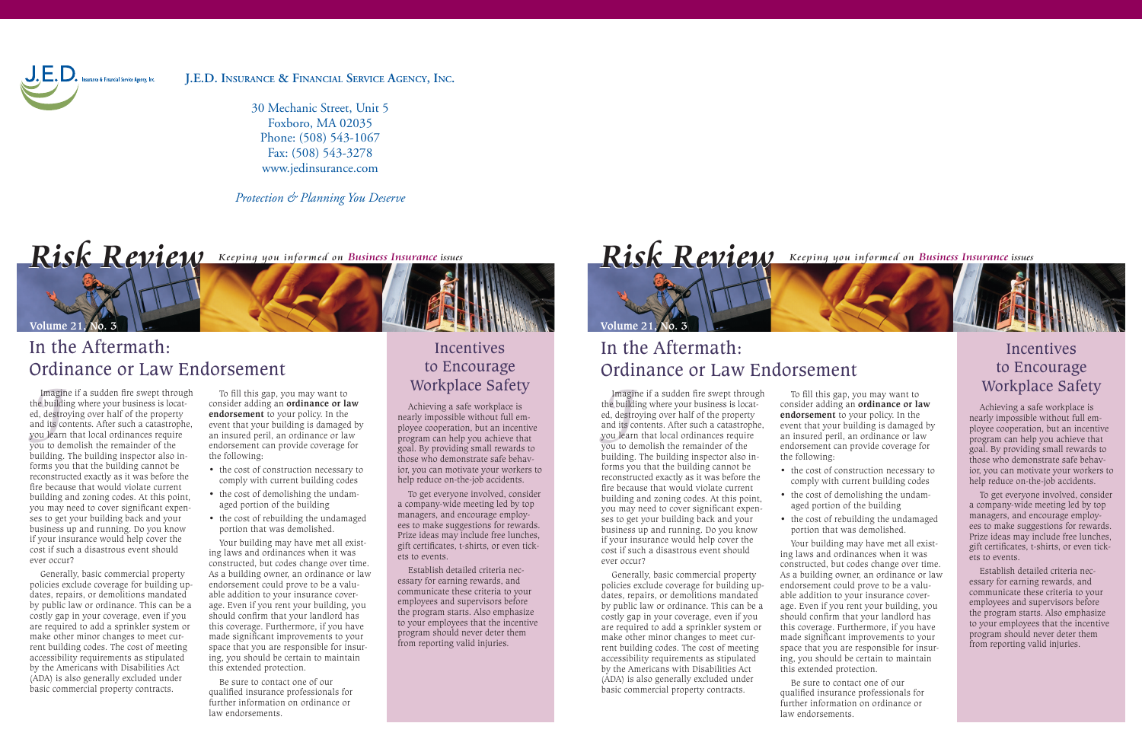

**J.E.D. Insurance & Financial Service Agency, Inc.**

30 Mechanic Street, Unit 5 Foxboro, MA 02035 Phone: (508) 543-1067 Fax: (508) 543-3278 www.jedinsurance.com

*Protection & Planning You Deserve*

 $Risk$  *Review Keeping you informed on Business Insurance issues* 



# In the Aftermath: Ordinance or Law Endorsement

Imagir<br>*I*e buildi<br>*I*, destro<br>*I*d its co<br>pu to de the building where your business is located, destroying over half of the property and its contents. After such a catastrophe, you learn that local ordinances require you to demolish the remainder of the building. The building inspector also informs you that the building cannot be reconstructed exactly as it was before the fire because that would violate current building and zoning codes. At this point, you may need to cover significant expenses to get your building back and your business up and running. Do you know if your insurance would help cover the cost if such a disastrous event should ever occur?

Generally, basic commercial property policies exclude coverage for building updates, repairs, or demolitions mandated by public law or ordinance. This can be a costly gap in your coverage, even if you are required to add a sprinkler system or make other minor changes to meet current building codes. The cost of meeting accessibility requirements as stipulated by the Americans with Disabilities Act (ADA) is also generally excluded under basic commercial property contracts.

To fill this gap, you may want to consider adding an **ordinance or law endorsement** to your policy. In the event that your building is damaged by an insured peril, an ordinance or law endorsement can provide coverage for the following:

- the cost of construction necessary to comply with current building codes
- the cost of demolishing the undamaged portion of the building
- the cost of rebuilding the undamaged portion that was demolished.

Your building may have met all existing laws and ordinances when it was constructed, but codes change over time. As a building owner, an ordinance or law endorsement could prove to be a valuable addition to your insurance coverage. Even if you rent your building, you should confirm that your landlord has this coverage. Furthermore, if you have made significant improvements to your space that you are responsible for insuring, you should be certain to maintain this extended protection.

Be sure to contact one of our qualified insurance professionals for further information on ordinance or law endorsements.

### Incentives to Encourage Imagine if a sudden fire swept through To fill this gap, you may want to **IMOTED WORED In Society**

Achieving a safe workplace is nearly impossible without full employee cooperation, but an incentive program can help you achieve that goal. By providing small rewards to those who demonstrate safe behavior, you can motivate your workers to help reduce on-the-job accidents.

To get everyone involved, consider a company-wide meeting led by top managers, and encourage employees to make suggestions for rewards. Prize ideas may include free lunches, gift certificates, t-shirts, or even tickets to events.

Establish detailed criteria necessary for earning rewards, and communicate these criteria to your employees and supervisors before the program starts. Also emphasize to your employees that the incentive program should never deter them from reporting valid injuries.